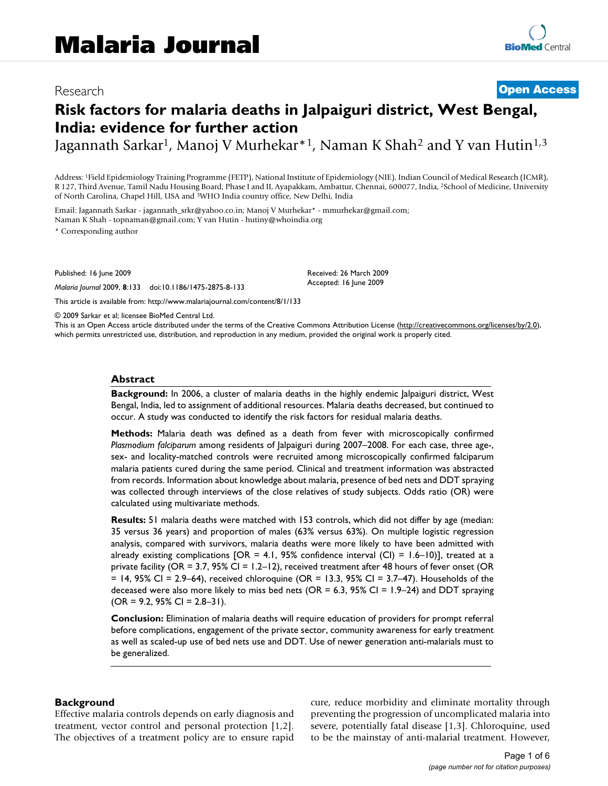# Research **[Open Access](http://www.biomedcentral.com/info/about/charter/)**

# **Risk factors for malaria deaths in Jalpaiguri district, West Bengal, India: evidence for further action**

Jagannath Sarkar<sup>1</sup>, Manoj V Murhekar<sup>\*1</sup>, Naman K Shah<sup>2</sup> and Y van Hutin<sup>1,3</sup>

Address: 1Field Epidemiology Training Programme (FETP), National Institute of Epidemiology (NIE), Indian Council of Medical Research (ICMR), R 127, Third Avenue, Tamil Nadu Housing Board, Phase I and II, Ayapakkam, Ambattur, Chennai, 600077, India, 2School of Medicine, University of North Carolina, Chapel Hill, USA and 3WHO India country office, New Delhi, India

Email: Jagannath Sarkar - jagannath\_srkr@yahoo.co.in; Manoj V Murhekar\* - mmurhekar@gmail.com; Naman K Shah - topnaman@gmail.com; Y van Hutin - hutiny@whoindia.org

\* Corresponding author

Published: 16 June 2009

*Malaria Journal* 2009, **8**:133 doi:10.1186/1475-2875-8-133

[This article is available from: http://www.malariajournal.com/content/8/1/133](http://www.malariajournal.com/content/8/1/133)

© 2009 Sarkar et al; licensee BioMed Central Ltd.

This is an Open Access article distributed under the terms of the Creative Commons Attribution License [\(http://creativecommons.org/licenses/by/2.0\)](http://creativecommons.org/licenses/by/2.0), which permits unrestricted use, distribution, and reproduction in any medium, provided the original work is properly cited.

Received: 26 March 2009 Accepted: 16 June 2009

#### **Abstract**

**Background:** In 2006, a cluster of malaria deaths in the highly endemic Jalpaiguri district, West Bengal, India, led to assignment of additional resources. Malaria deaths decreased, but continued to occur. A study was conducted to identify the risk factors for residual malaria deaths.

**Methods:** Malaria death was defined as a death from fever with microscopically confirmed *Plasmodium falciparum* among residents of Jalpaiguri during 2007–2008. For each case, three age-, sex- and locality-matched controls were recruited among microscopically confirmed falciparum malaria patients cured during the same period. Clinical and treatment information was abstracted from records. Information about knowledge about malaria, presence of bed nets and DDT spraying was collected through interviews of the close relatives of study subjects. Odds ratio (OR) were calculated using multivariate methods.

**Results:** 51 malaria deaths were matched with 153 controls, which did not differ by age (median: 35 versus 36 years) and proportion of males (63% versus 63%). On multiple logistic regression analysis, compared with survivors, malaria deaths were more likely to have been admitted with already existing complications [OR = 4.1, 95% confidence interval (CI) = 1.6–10)], treated at a private facility (OR = 3.7, 95% CI = 1.2–12), received treatment after 48 hours of fever onset (OR  $= 14, 95\%$  CI = 2.9–64), received chloroquine (OR = 13.3, 95% CI = 3.7–47). Households of the deceased were also more likely to miss bed nets (OR = 6.3, 95% CI = 1.9–24) and DDT spraying  $(OR = 9.2, 95\% CI = 2.8-31).$ 

**Conclusion:** Elimination of malaria deaths will require education of providers for prompt referral before complications, engagement of the private sector, community awareness for early treatment as well as scaled-up use of bed nets use and DDT. Use of newer generation anti-malarials must to be generalized.

#### **Background**

Effective malaria controls depends on early diagnosis and treatment, vector control and personal protection [1,2]. The objectives of a treatment policy are to ensure rapid cure, reduce morbidity and eliminate mortality through preventing the progression of uncomplicated malaria into severe, potentially fatal disease [1,3]. Chloroquine, used to be the mainstay of anti-malarial treatment. However,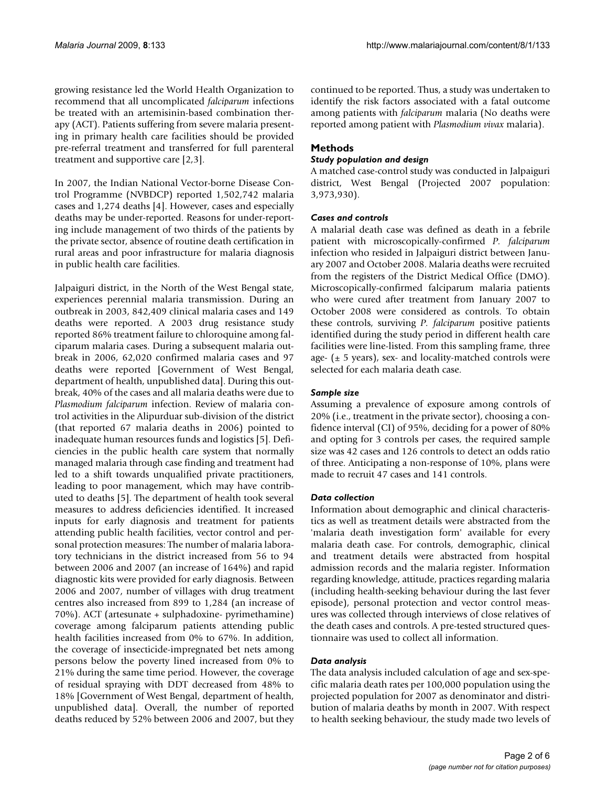growing resistance led the World Health Organization to recommend that all uncomplicated *falciparum* infections be treated with an artemisinin-based combination therapy (ACT). Patients suffering from severe malaria presenting in primary health care facilities should be provided pre-referral treatment and transferred for full parenteral treatment and supportive care [2,3].

In 2007, the Indian National Vector-borne Disease Control Programme (NVBDCP) reported 1,502,742 malaria cases and 1,274 deaths [4]. However, cases and especially deaths may be under-reported. Reasons for under-reporting include management of two thirds of the patients by the private sector, absence of routine death certification in rural areas and poor infrastructure for malaria diagnosis in public health care facilities.

Jalpaiguri district, in the North of the West Bengal state, experiences perennial malaria transmission. During an outbreak in 2003, 842,409 clinical malaria cases and 149 deaths were reported. A 2003 drug resistance study reported 86% treatment failure to chloroquine among falciparum malaria cases. During a subsequent malaria outbreak in 2006, 62,020 confirmed malaria cases and 97 deaths were reported [Government of West Bengal, department of health, unpublished data]. During this outbreak, 40% of the cases and all malaria deaths were due to *Plasmodium falciparum* infection. Review of malaria control activities in the Alipurduar sub-division of the district (that reported 67 malaria deaths in 2006) pointed to inadequate human resources funds and logistics [5]. Deficiencies in the public health care system that normally managed malaria through case finding and treatment had led to a shift towards unqualified private practitioners, leading to poor management, which may have contributed to deaths [5]. The department of health took several measures to address deficiencies identified. It increased inputs for early diagnosis and treatment for patients attending public health facilities, vector control and personal protection measures: The number of malaria laboratory technicians in the district increased from 56 to 94 between 2006 and 2007 (an increase of 164%) and rapid diagnostic kits were provided for early diagnosis. Between 2006 and 2007, number of villages with drug treatment centres also increased from 899 to 1,284 (an increase of 70%). ACT (artesunate + sulphadoxine- pyrimethamine) coverage among falciparum patients attending public health facilities increased from 0% to 67%. In addition, the coverage of insecticide-impregnated bet nets among persons below the poverty lined increased from 0% to 21% during the same time period. However, the coverage of residual spraying with DDT decreased from 48% to 18% [Government of West Bengal, department of health, unpublished data]. Overall, the number of reported deaths reduced by 52% between 2006 and 2007, but they continued to be reported. Thus, a study was undertaken to identify the risk factors associated with a fatal outcome among patients with *falciparum* malaria (No deaths were reported among patient with *Plasmodium vivax* malaria).

# **Methods**

## *Study population and design*

A matched case-control study was conducted in Jalpaiguri district, West Bengal (Projected 2007 population: 3,973,930).

#### *Cases and controls*

A malarial death case was defined as death in a febrile patient with microscopically-confirmed *P. falciparum* infection who resided in Jalpaiguri district between January 2007 and October 2008. Malaria deaths were recruited from the registers of the District Medical Office (DMO). Microscopically-confirmed falciparum malaria patients who were cured after treatment from January 2007 to October 2008 were considered as controls. To obtain these controls, surviving *P. falciparum* positive patients identified during the study period in different health care facilities were line-listed. From this sampling frame, three age-  $(\pm 5 \text{ years})$ , sex- and locality-matched controls were selected for each malaria death case.

## *Sample size*

Assuming a prevalence of exposure among controls of 20% (i.e., treatment in the private sector), choosing a confidence interval (CI) of 95%, deciding for a power of 80% and opting for 3 controls per cases, the required sample size was 42 cases and 126 controls to detect an odds ratio of three. Anticipating a non-response of 10%, plans were made to recruit 47 cases and 141 controls.

#### *Data collection*

Information about demographic and clinical characteristics as well as treatment details were abstracted from the 'malaria death investigation form' available for every malaria death case. For controls, demographic, clinical and treatment details were abstracted from hospital admission records and the malaria register. Information regarding knowledge, attitude, practices regarding malaria (including health-seeking behaviour during the last fever episode), personal protection and vector control measures was collected through interviews of close relatives of the death cases and controls. A pre-tested structured questionnaire was used to collect all information.

#### *Data analysis*

The data analysis included calculation of age and sex-specific malaria death rates per 100,000 population using the projected population for 2007 as denominator and distribution of malaria deaths by month in 2007. With respect to health seeking behaviour, the study made two levels of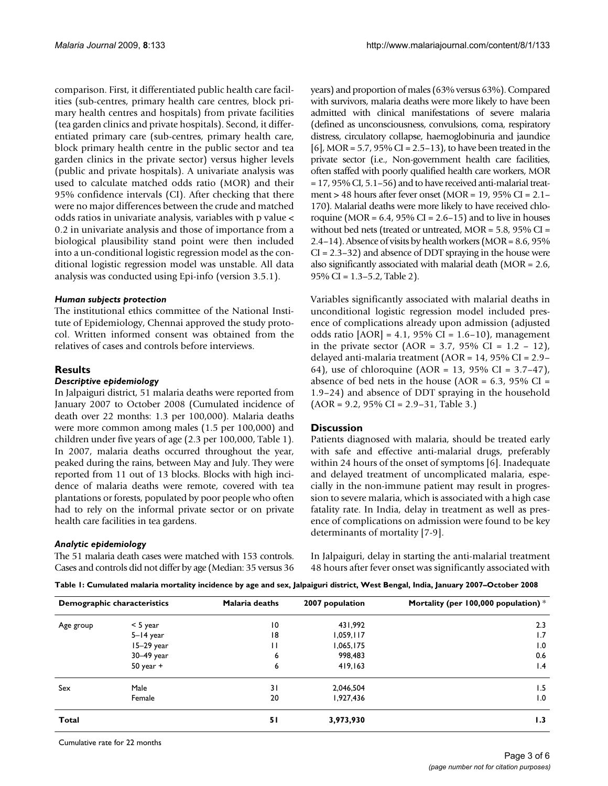comparison. First, it differentiated public health care facilities (sub-centres, primary health care centres, block primary health centres and hospitals) from private facilities (tea garden clinics and private hospitals). Second, it differentiated primary care (sub-centres, primary health care, block primary health centre in the public sector and tea garden clinics in the private sector) versus higher levels (public and private hospitals). A univariate analysis was used to calculate matched odds ratio (MOR) and their 95% confidence intervals (CI). After checking that there were no major differences between the crude and matched odds ratios in univariate analysis, variables with p value < 0.2 in univariate analysis and those of importance from a biological plausibility stand point were then included into a un-conditional logistic regression model as the conditional logistic regression model was unstable. All data analysis was conducted using Epi-info (version 3.5.1).

#### *Human subjects protection*

The institutional ethics committee of the National Institute of Epidemiology, Chennai approved the study protocol. Written informed consent was obtained from the relatives of cases and controls before interviews.

## **Results**

#### *Descriptive epidemiology*

In Jalpaiguri district, 51 malaria deaths were reported from January 2007 to October 2008 (Cumulated incidence of death over 22 months: 1.3 per 100,000). Malaria deaths were more common among males (1.5 per 100,000) and children under five years of age (2.3 per 100,000, Table 1). In 2007, malaria deaths occurred throughout the year, peaked during the rains, between May and July. They were reported from 11 out of 13 blocks. Blocks with high incidence of malaria deaths were remote, covered with tea plantations or forests, populated by poor people who often had to rely on the informal private sector or on private health care facilities in tea gardens.

#### *Analytic epidemiology*

The 51 malaria death cases were matched with 153 controls. Cases and controls did not differ by age (Median: 35 versus 36 years) and proportion of males (63% versus 63%). Compared with survivors, malaria deaths were more likely to have been admitted with clinical manifestations of severe malaria (defined as unconsciousness, convulsions, coma, respiratory distress, circulatory collapse, haemoglobinuria and jaundice [6], MOR = 5.7, 95% CI =  $2.5-13$ ], to have been treated in the private sector (i.e., Non-government health care facilities, often staffed with poorly qualified health care workers, MOR = 17, 95% CI, 5.1–56) and to have received anti-malarial treatment > 48 hours after fever onset (MOR = 19, 95% CI = 2.1– 170). Malarial deaths were more likely to have received chloroquine (MOR =  $6.4$ ,  $95\%$  CI =  $2.6-15$ ) and to live in houses without bed nets (treated or untreated,  $MOR = 5.8$ , 95% CI = 2.4–14). Absence of visits by health workers (MOR = 8.6, 95%  $CI = 2.3-32$  and absence of DDT spraying in the house were also significantly associated with malarial death (MOR = 2.6, 95% CI = 1.3–5.2, Table 2).

Variables significantly associated with malarial deaths in unconditional logistic regression model included presence of complications already upon admission (adjusted odds ratio [AOR] = 4.1, 95% CI = 1.6–10), management in the private sector (AOR = 3.7, 95% CI =  $1.2 - 12$ ), delayed anti-malaria treatment (AOR = 14, 95% CI = 2.9– 64), use of chloroquine (AOR = 13, 95% CI = 3.7–47), absence of bed nets in the house (AOR =  $6.3$ ,  $95\%$  CI = 1.9–24) and absence of DDT spraying in the household  $(AOR = 9.2, 95\% CI = 2.9 - 31, Table 3.)$ 

#### **Discussion**

Patients diagnosed with malaria, should be treated early with safe and effective anti-malarial drugs, preferably within 24 hours of the onset of symptoms [6]. Inadequate and delayed treatment of uncomplicated malaria, especially in the non-immune patient may result in progression to severe malaria, which is associated with a high case fatality rate. In India, delay in treatment as well as presence of complications on admission were found to be key determinants of mortality [7-9].

In Jalpaiguri, delay in starting the anti-malarial treatment 48 hours after fever onset was significantly associated with

| Table I: Cumulated malaria mortality incidence by age and sex, Jalpaiguri district, West Bengal, India, January 2007–October 2008 |
|-----------------------------------------------------------------------------------------------------------------------------------|
|-----------------------------------------------------------------------------------------------------------------------------------|

|           | Demographic characteristics | Malaria deaths  | 2007 population | Mortality (per 100,000 population) $*$ |
|-----------|-----------------------------|-----------------|-----------------|----------------------------------------|
| Age group | $<$ 5 year                  | $\overline{10}$ | 431,992         | 2.3                                    |
|           | $5 - 14$ year               | 18              | 1,059,117       | 1.7                                    |
|           | $15-29$ year                | П               | 1,065,175       | 1.0                                    |
|           | 30-49 year                  | 6               | 998,483         | 0.6                                    |
|           | $50$ year $+$               | 6               | 419,163         | $\mathsf{I}$ .4                        |
| Sex       | Male                        | 31              | 2,046,504       | 1.5                                    |
|           | Female                      | 20              | 1,927,436       | 1.0                                    |
| Total     |                             | 51              | 3,973,930       | 1.3                                    |

Cumulative rate for 22 months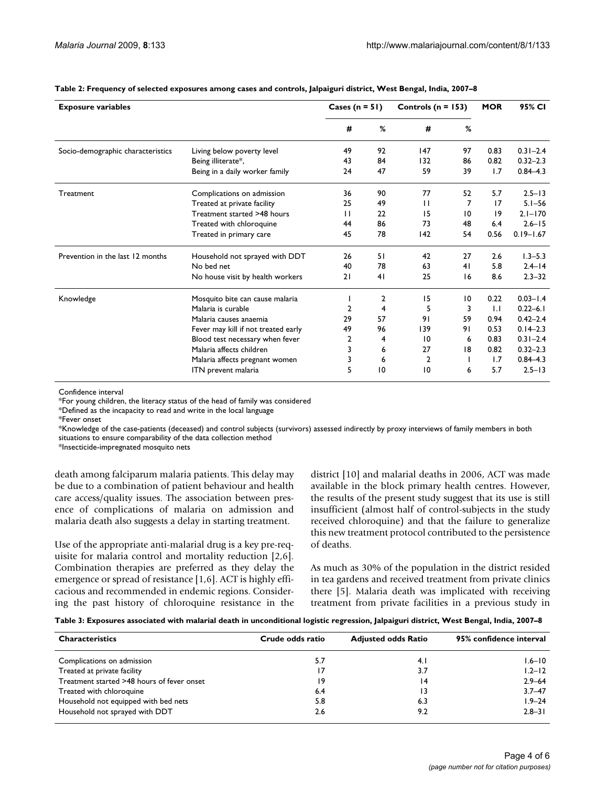| <b>Exposure variables</b>         |                                     | Cases ( $n = 51$ ) |    | Controls ( $n = 153$ ) |                | <b>MOR</b>   | 95% CI        |
|-----------------------------------|-------------------------------------|--------------------|----|------------------------|----------------|--------------|---------------|
|                                   |                                     | #                  | %  | #                      | %              |              |               |
| Socio-demographic characteristics | Living below poverty level          | 49                 | 92 | 147                    | 97             | 0.83         | $0.31 - 2.4$  |
|                                   | Being illiterate*,                  | 43                 | 84 | 132                    | 86             | 0.82         | $0.32 - 2.3$  |
|                                   | Being in a daily worker family      | 24                 | 47 | 59                     | 39             | 1.7          | $0.84 - 4.3$  |
| Treatment                         | Complications on admission          | 36                 | 90 | 77                     | 52             | 5.7          | $2.5 - 13$    |
|                                   | Treated at private facility         | 25                 | 49 | $\mathbf{1}$           | 7              | 17           | $5.1 - 56$    |
|                                   | Treatment started >48 hours         | П                  | 22 | 15                     | 0              | 19           | $2.1 - 170$   |
|                                   | Treated with chloroquine            | 44                 | 86 | 73                     | 48             | 6.4          | $2.6 - 15$    |
|                                   | Treated in primary care             | 45                 | 78 | 142                    | 54             | 0.56         | $0.19 - 1.67$ |
| Prevention in the last 12 months  | Household not sprayed with DDT      | 26                 | 51 | 42                     | 27             | 2.6          | $1.3 - 5.3$   |
|                                   | No bed net                          | 40                 | 78 | 63                     | 41             | 5.8          | $2.4 - 14$    |
|                                   | No house visit by health workers    | 21                 | 41 | 25                     | 16             | 8.6          | $2.3 - 32$    |
| Knowledge                         | Mosquito bite can cause malaria     |                    | 2  | 15                     | $\overline{0}$ | 0.22         | $0.03 - 1.4$  |
|                                   | Malaria is curable                  | 2                  | 4  | 5                      | 3              | $\mathbf{L}$ | $0.22 - 6.1$  |
|                                   | Malaria causes anaemia              | 29                 | 57 | 91                     | 59             | 0.94         | $0.42 - 2.4$  |
|                                   | Fever may kill if not treated early | 49                 | 96 | 139                    | 91             | 0.53         | $0.14 - 2.3$  |
|                                   | Blood test necessary when fever     | 2                  | 4  | $\overline{10}$        | 6              | 0.83         | $0.31 - 2.4$  |
|                                   | Malaria affects children            | 3                  | 6  | 27                     | 8              | 0.82         | $0.32 - 2.3$  |
|                                   | Malaria affects pregnant women      | 3                  | 6  | 2                      |                | 1.7          | $0.84 - 4.3$  |
|                                   | ITN prevent malaria                 | 5                  | 10 | 10                     | 6              | 5.7          | $2.5 - 13$    |

#### **Table 2: Frequency of selected exposures among cases and controls, Jalpaiguri district, West Bengal, India, 2007–8**

Confidence interval

\*For young children, the literacy status of the head of family was considered

\*Defined as the incapacity to read and write in the local language

\*Fever onset

\*Knowledge of the case-patients (deceased) and control subjects (survivors) assessed indirectly by proxy interviews of family members in both situations to ensure comparability of the data collection method

\*Insecticide-impregnated mosquito nets

death among falciparum malaria patients. This delay may be due to a combination of patient behaviour and health care access/quality issues. The association between presence of complications of malaria on admission and malaria death also suggests a delay in starting treatment.

Use of the appropriate anti-malarial drug is a key pre-requisite for malaria control and mortality reduction [2,6]. Combination therapies are preferred as they delay the emergence or spread of resistance [1,6]. ACT is highly efficacious and recommended in endemic regions. Considering the past history of chloroquine resistance in the district [\[10](#page-5-0)] and malarial deaths in 2006, ACT was made available in the block primary health centres. However, the results of the present study suggest that its use is still insufficient (almost half of control-subjects in the study received chloroquine) and that the failure to generalize this new treatment protocol contributed to the persistence of deaths.

As much as 30% of the population in the district resided in tea gardens and received treatment from private clinics there [5]. Malaria death was implicated with receiving treatment from private facilities in a previous study in

| Table 3: Exposures associated with malarial death in unconditional logistic regression, Jalpaiguri district, West Bengal, India, 2007–8 |  |  |  |
|-----------------------------------------------------------------------------------------------------------------------------------------|--|--|--|
|-----------------------------------------------------------------------------------------------------------------------------------------|--|--|--|

| <b>Characteristics</b>                     | Crude odds ratio | <b>Adjusted odds Ratio</b> | 95% confidence interval |
|--------------------------------------------|------------------|----------------------------|-------------------------|
| Complications on admission                 | 5.7              | 4.1                        | $1.6 - 10$              |
| Treated at private facility                | 17               | 3.7                        | $1.2 - 12$              |
| Treatment started >48 hours of fever onset | 19               | 14                         | $2.9 - 64$              |
| Treated with chloroquine                   | 6.4              | 13                         | $3.7 - 47$              |
| Household not equipped with bed nets       | 5.8              | 6.3                        | $1.9 - 24$              |
| Household not sprayed with DDT             | 2.6              | 9.2                        | $2.8 - 31$              |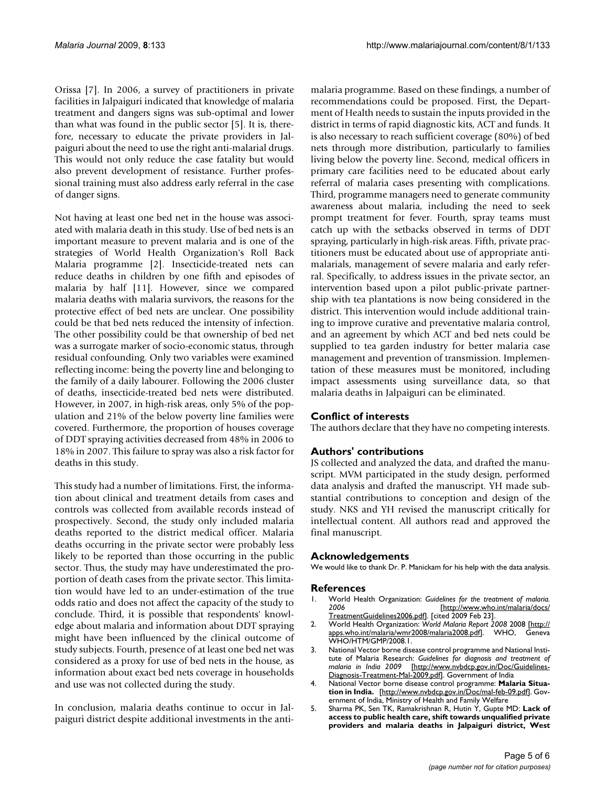Orissa [7]. In 2006, a survey of practitioners in private facilities in Jalpaiguri indicated that knowledge of malaria treatment and dangers signs was sub-optimal and lower than what was found in the public sector [5]. It is, therefore, necessary to educate the private providers in Jalpaiguri about the need to use the right anti-malarial drugs. This would not only reduce the case fatality but would also prevent development of resistance. Further professional training must also address early referral in the case of danger signs.

Not having at least one bed net in the house was associated with malaria death in this study. Use of bed nets is an important measure to prevent malaria and is one of the strategies of World Health Organization's Roll Back Malaria programme [2]. Insecticide-treated nets can reduce deaths in children by one fifth and episodes of malaria by half [11]. However, since we compared malaria deaths with malaria survivors, the reasons for the protective effect of bed nets are unclear. One possibility could be that bed nets reduced the intensity of infection. The other possibility could be that ownership of bed net was a surrogate marker of socio-economic status, through residual confounding. Only two variables were examined reflecting income: being the poverty line and belonging to the family of a daily labourer. Following the 2006 cluster of deaths, insecticide-treated bed nets were distributed. However, in 2007, in high-risk areas, only 5% of the population and 21% of the below poverty line families were covered. Furthermore, the proportion of houses coverage of DDT spraying activities decreased from 48% in 2006 to 18% in 2007. This failure to spray was also a risk factor for deaths in this study.

This study had a number of limitations. First, the information about clinical and treatment details from cases and controls was collected from available records instead of prospectively. Second, the study only included malaria deaths reported to the district medical officer. Malaria deaths occurring in the private sector were probably less likely to be reported than those occurring in the public sector. Thus, the study may have underestimated the proportion of death cases from the private sector. This limitation would have led to an under-estimation of the true odds ratio and does not affect the capacity of the study to conclude. Third, it is possible that respondents' knowledge about malaria and information about DDT spraying might have been influenced by the clinical outcome of study subjects. Fourth, presence of at least one bed net was considered as a proxy for use of bed nets in the house, as information about exact bed nets coverage in households and use was not collected during the study.

In conclusion, malaria deaths continue to occur in Jalpaiguri district despite additional investments in the antimalaria programme. Based on these findings, a number of recommendations could be proposed. First, the Department of Health needs to sustain the inputs provided in the district in terms of rapid diagnostic kits, ACT and funds. It is also necessary to reach sufficient coverage (80%) of bed nets through more distribution, particularly to families living below the poverty line. Second, medical officers in primary care facilities need to be educated about early referral of malaria cases presenting with complications. Third, programme managers need to generate community awareness about malaria, including the need to seek prompt treatment for fever. Fourth, spray teams must catch up with the setbacks observed in terms of DDT spraying, particularly in high-risk areas. Fifth, private practitioners must be educated about use of appropriate antimalarials, management of severe malaria and early referral. Specifically, to address issues in the private sector, an intervention based upon a pilot public-private partnership with tea plantations is now being considered in the district. This intervention would include additional training to improve curative and preventative malaria control, and an agreement by which ACT and bed nets could be supplied to tea garden industry for better malaria case management and prevention of transmission. Implementation of these measures must be monitored, including impact assessments using surveillance data, so that malaria deaths in Jalpaiguri can be eliminated.

#### **Conflict of interests**

The authors declare that they have no competing interests.

#### **Authors' contributions**

JS collected and analyzed the data, and drafted the manuscript. MVM participated in the study design, performed data analysis and drafted the manuscript. YH made substantial contributions to conception and design of the study. NKS and YH revised the manuscript critically for intellectual content. All authors read and approved the final manuscript.

#### **Acknowledgements**

We would like to thank Dr. P. Manickam for his help with the data analysis.

#### **References**

- 1. World Health Organization: *Guidelines for the treatment of malaria. 2006* [\[http://www.who.int/malaria/docs/](http://www.who.int/malaria/docs/TreatmentGuidelines2006.pdf) [TreatmentGuidelines2006.pdf](http://www.who.int/malaria/docs/TreatmentGuidelines2006.pdf)]. [cited 2009 Feb 23].
- 2. World Health Organization: *World Malaria Report 2008* 2008 [\[http://](http://apps.who.int/malaria/wmr2008/malaria2008.pdf) [apps.who.int/malaria/wmr2008/malaria2008.pdf](http://apps.who.int/malaria/wmr2008/malaria2008.pdf)]. WHO, Geneva WHO/HTM/GMP/2008.1.
- 3. National Vector borne disease control programme and National Institute of Malaria Research: *Guidelines for diagnosis and treatment of malaria in India 2009* [[http://www.nvbdcp.gov.in/Doc/Guidelines-](http://www.nvbdcp.gov.in/Doc/Guidelines-Diagnosis-Treatment-Mal-2009.pdf)[Diagnosis-Treatment-Mal-2009.pdf\]](http://www.nvbdcp.gov.in/Doc/Guidelines-Diagnosis-Treatment-Mal-2009.pdf). Government of India
- 4. National Vector borne disease control programme: **Malaria Situation in India.** [<http://www.nvbdcp.gov.in/Doc/mal-feb-09.pdf>]. Government of India, Ministry of Health and Family Welfare
- 5. Sharma PK, Sen TK, Ramakrishnan R, Hutin Y, Gupte MD: **Lack of access to public health care, shift towards unqualified private providers and malaria deaths in Jalpaiguri district, West**